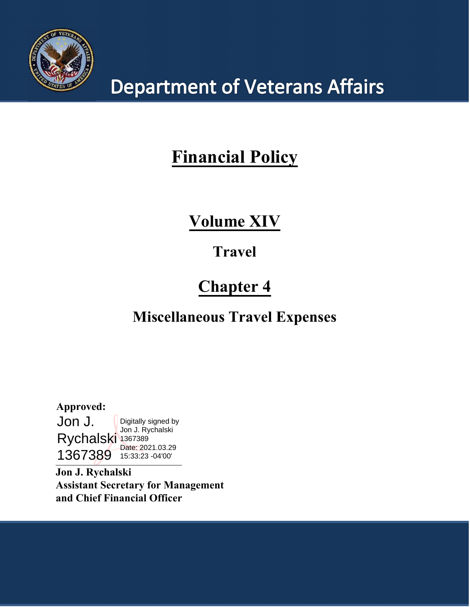

# **Department of Veterans Affairs**

## **Financial Policy**

### **Volume XIV**

### **Travel**

### **Chapter 4**

### **Miscellaneous Travel Expenses**

 $\overline{a}$ **Approved:** Jon J. Rychalski 1367389 1367389 15:33:23 -04'00'Digitally signed by Jon J. Rychalski Date: 2021.03.29

**Jon J. Rychalski Assistant Secretary for Management and Chief Financial Officer**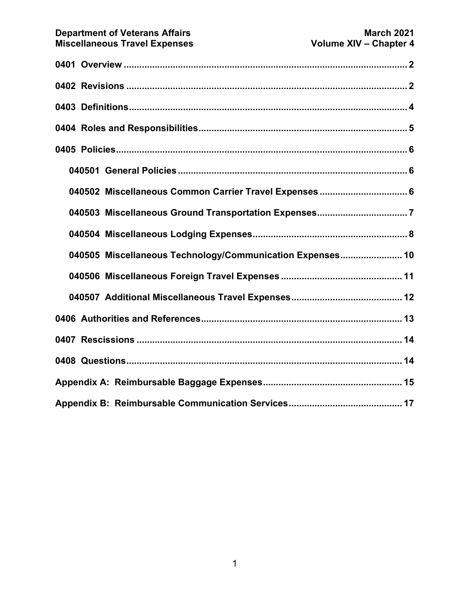| 040505 Miscellaneous Technology/Communication Expenses 10 |  |  |  |
|-----------------------------------------------------------|--|--|--|
|                                                           |  |  |  |
|                                                           |  |  |  |
|                                                           |  |  |  |
|                                                           |  |  |  |
|                                                           |  |  |  |
|                                                           |  |  |  |
|                                                           |  |  |  |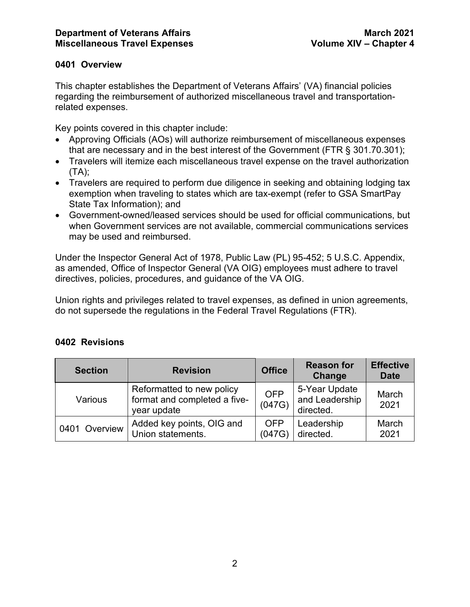#### <span id="page-2-0"></span>**0401 Overview**

This chapter establishes the Department of Veterans Affairs' (VA) financial policies regarding the reimbursement of authorized miscellaneous travel and transportationrelated expenses.

Key points covered in this chapter include:

- Approving Officials (AOs) will authorize reimbursement of miscellaneous expenses that are necessary and in the best interest of the Government (FTR § 301.70.301);
- Travelers will itemize each miscellaneous travel expense on the travel authorization (TA);
- Travelers are required to perform due diligence in seeking and obtaining lodging tax exemption when traveling to states which are tax-exempt (refer to GSA SmartPay State Tax Information); and
- Government-owned/leased services should be used for official communications, but when Government services are not available, commercial communications services may be used and reimbursed.

Under the Inspector General Act of 1978, Public Law (PL) 95-452; 5 U.S.C. Appendix, as amended, Office of Inspector General (VA OIG) employees must adhere to travel directives, policies, procedures, and guidance of the VA OIG.

Union rights and privileges related to travel expenses, as defined in union agreements, do not supersede the regulations in the Federal Travel Regulations (FTR).

| <b>Section</b> | <b>Revision</b>                                                          | <b>Office</b>        | <b>Reason for</b><br>Change                  | <b>Effective</b><br><b>Date</b> |
|----------------|--------------------------------------------------------------------------|----------------------|----------------------------------------------|---------------------------------|
| Various        | Reformatted to new policy<br>format and completed a five-<br>year update | <b>OFP</b><br>(047G) | 5-Year Update<br>and Leadership<br>directed. | March<br>2021                   |
| 0401 Overview  | Added key points, OIG and<br>Union statements.                           | <b>OFP</b><br>(047G) | Leadership<br>directed.                      | March<br>2021                   |

#### <span id="page-2-1"></span>**0402 Revisions**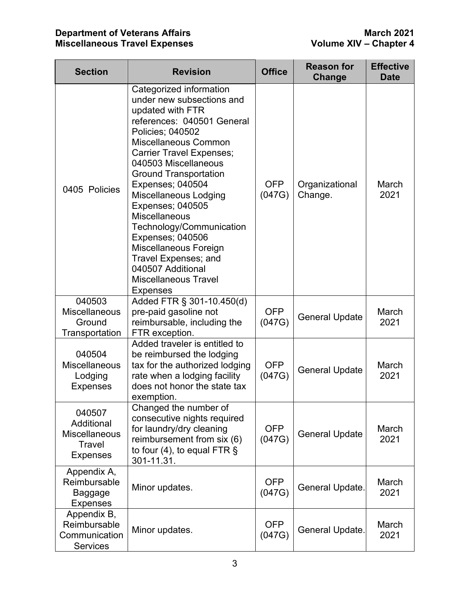| <b>Section</b>                                                            | <b>Revision</b>                                                                                                                                                                                                                                                                                                                                                                                                                                                                                                       | <b>Office</b>        | <b>Reason for</b><br>Change | <b>Effective</b><br><b>Date</b> |
|---------------------------------------------------------------------------|-----------------------------------------------------------------------------------------------------------------------------------------------------------------------------------------------------------------------------------------------------------------------------------------------------------------------------------------------------------------------------------------------------------------------------------------------------------------------------------------------------------------------|----------------------|-----------------------------|---------------------------------|
| 0405 Policies                                                             | Categorized information<br>under new subsections and<br>updated with FTR<br>references: 040501 General<br>Policies; 040502<br>Miscellaneous Common<br><b>Carrier Travel Expenses;</b><br>040503 Miscellaneous<br><b>Ground Transportation</b><br><b>Expenses; 040504</b><br>Miscellaneous Lodging<br>Expenses; 040505<br><b>Miscellaneous</b><br>Technology/Communication<br>Expenses; 040506<br>Miscellaneous Foreign<br>Travel Expenses; and<br>040507 Additional<br><b>Miscellaneous Travel</b><br><b>Expenses</b> | <b>OFP</b><br>(047G) | Organizational<br>Change.   | March<br>2021                   |
| 040503<br><b>Miscellaneous</b><br>Ground<br>Transportation                | Added FTR § 301-10.450(d)<br>pre-paid gasoline not<br>reimbursable, including the<br>FTR exception.                                                                                                                                                                                                                                                                                                                                                                                                                   | <b>OFP</b><br>(047G) | <b>General Update</b>       | March<br>2021                   |
| 040504<br><b>Miscellaneous</b><br>Lodging<br><b>Expenses</b>              | Added traveler is entitled to<br>be reimbursed the lodging<br>tax for the authorized lodging<br>rate when a lodging facility<br>does not honor the state tax<br>exemption.                                                                                                                                                                                                                                                                                                                                            | <b>OFP</b><br>(047G) | <b>General Update</b>       | March<br>2021                   |
| 040507<br>Additional<br><b>Miscellaneous</b><br>Travel<br><b>Expenses</b> | Changed the number of<br>consecutive nights required<br>for laundry/dry cleaning<br>reimbursement from six (6)<br>to four (4), to equal FTR $\S$<br>301-11.31.                                                                                                                                                                                                                                                                                                                                                        | <b>OFP</b><br>(047G) | <b>General Update</b>       | March<br>2021                   |
| Appendix A,<br>Reimbursable<br>Baggage<br><b>Expenses</b>                 | Minor updates.                                                                                                                                                                                                                                                                                                                                                                                                                                                                                                        | <b>OFP</b><br>(047G) | General Update.             | March<br>2021                   |
| Appendix B,<br>Reimbursable<br>Communication<br><b>Services</b>           | Minor updates.                                                                                                                                                                                                                                                                                                                                                                                                                                                                                                        | <b>OFP</b><br>(047G) | General Update.             | March<br>2021                   |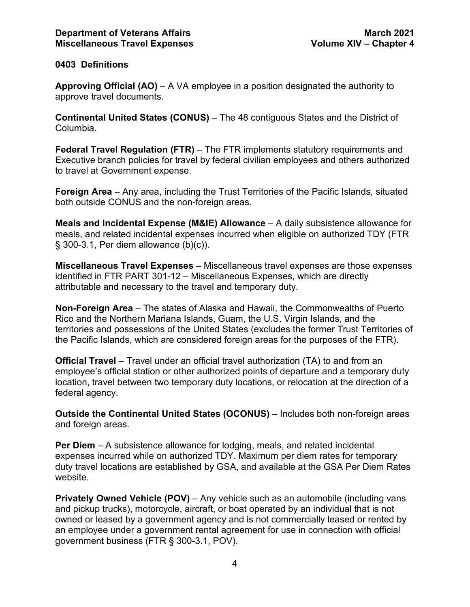#### <span id="page-4-0"></span>**0403 Definitions**

**Approving Official (AO)** – A VA employee in a position designated the authority to approve travel documents.

**Continental United States (CONUS)** – The 48 contiguous States and the District of Columbia.

**Federal Travel Regulation (FTR)** – The FTR implements statutory requirements and Executive branch policies for travel by federal civilian employees and others authorized to travel at Government expense.

**Foreign Area** – Any area, including the Trust Territories of the Pacific Islands, situated both outside CONUS and the non-foreign areas.

**Meals and Incidental Expense (M&IE) Allowance** – A daily subsistence allowance for meals, and related incidental expenses incurred when eligible on authorized TDY (FTR § 300-3.1, Per diem allowance (b)(c)).

**Miscellaneous Travel Expenses** – Miscellaneous travel expenses are those expenses identified in FTR PART 301-12 – Miscellaneous Expenses, which are directly attributable and necessary to the travel and temporary duty.

**Non-Foreign Area** – The states of Alaska and Hawaii, the Commonwealths of Puerto Rico and the Northern Mariana Islands, Guam, the U.S. Virgin Islands, and the territories and possessions of the United States (excludes the former Trust Territories of the Pacific Islands, which are considered foreign areas for the purposes of the FTR).

**Official Travel** – Travel under an official travel authorization (TA) to and from an employee's official station or other authorized points of departure and a temporary duty location, travel between two temporary duty locations, or relocation at the direction of a federal agency.

**Outside the Continental United States (OCONUS)** – Includes both non-foreign areas and foreign areas.

**Per Diem** – A subsistence allowance for lodging, meals, and related incidental expenses incurred while on authorized TDY. Maximum per diem rates for temporary duty travel locations are established by GSA, and available at the GSA Per Diem Rates website.

**Privately Owned Vehicle (POV)** – Any vehicle such as an automobile (including vans and pickup trucks), motorcycle, aircraft, or boat operated by an individual that is not owned or leased by a government agency and is not commercially leased or rented by an employee under a government rental agreement for use in connection with official government business (FTR § 300-3.1, POV).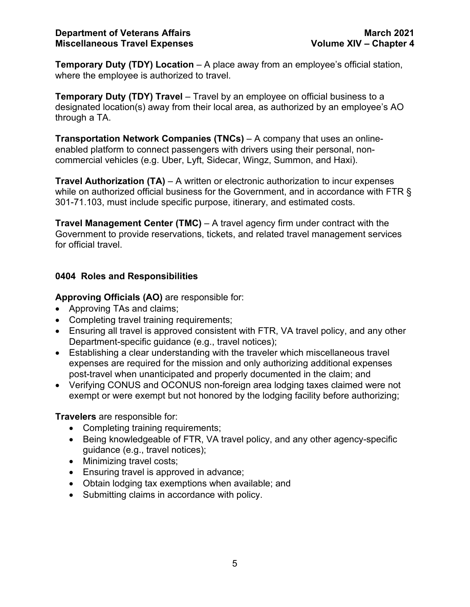**Temporary Duty (TDY) Location** – A place away from an employee's official station, where the employee is authorized to travel.

**Temporary Duty (TDY) Travel** – Travel by an employee on official business to a designated location(s) away from their local area, as authorized by an employee's AO through a TA.

**Transportation Network Companies (TNCs)** – A company that uses an onlineenabled platform to connect passengers with drivers using their personal, noncommercial vehicles (e.g. Uber, Lyft, Sidecar, Wingz, Summon, and Haxi).

**Travel Authorization (TA)** – A written or electronic authorization to incur expenses while on authorized official business for the Government, and in accordance with FTR § 301-71.103, must include specific purpose, itinerary, and estimated costs.

**Travel Management Center (TMC)** – A travel agency firm under contract with the Government to provide reservations, tickets, and related travel management services for official travel.

#### <span id="page-5-0"></span>**0404 Roles and Responsibilities**

**Approving Officials (AO)** are responsible for:

- Approving TAs and claims;
- Completing travel training requirements;
- Ensuring all travel is approved consistent with FTR, VA travel policy, and any other Department-specific guidance (e.g., travel notices);
- Establishing a clear understanding with the traveler which miscellaneous travel expenses are required for the mission and only authorizing additional expenses post-travel when unanticipated and properly documented in the claim; and
- Verifying CONUS and OCONUS non-foreign area lodging taxes claimed were not exempt or were exempt but not honored by the lodging facility before authorizing;

**Travelers** are responsible for:

- Completing training requirements;
- Being knowledgeable of FTR, VA travel policy, and any other agency-specific guidance (e.g., travel notices);
- Minimizing travel costs;
- Ensuring travel is approved in advance;
- Obtain lodging tax exemptions when available; and
- Submitting claims in accordance with policy.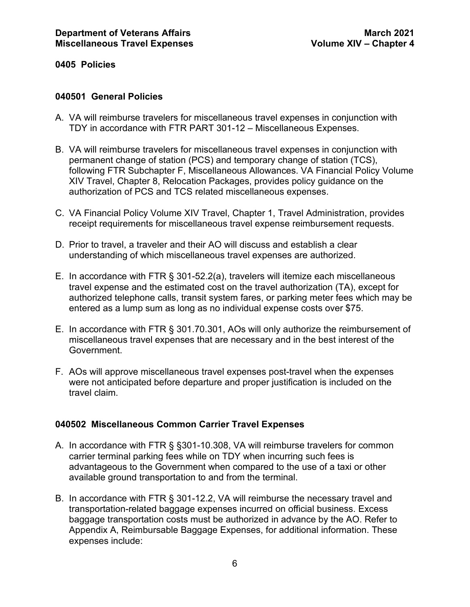#### <span id="page-6-0"></span>**0405 Policies**

#### <span id="page-6-1"></span>**040501 General Policies**

- A. VA will reimburse travelers for miscellaneous travel expenses in conjunction with TDY in accordance with FTR PART 301-12 – Miscellaneous Expenses.
- B. VA will reimburse travelers for miscellaneous travel expenses in conjunction with permanent change of station (PCS) and temporary change of station (TCS), following FTR Subchapter F, Miscellaneous Allowances. VA Financial Policy Volume XIV Travel, Chapter 8, Relocation Packages, provides policy guidance on the authorization of PCS and TCS related miscellaneous expenses.
- C. VA Financial Policy Volume XIV Travel, Chapter 1, Travel Administration, provides receipt requirements for miscellaneous travel expense reimbursement requests.
- D. Prior to travel, a traveler and their AO will discuss and establish a clear understanding of which miscellaneous travel expenses are authorized.
- E. In accordance with FTR § 301-52.2(a), travelers will itemize each miscellaneous travel expense and the estimated cost on the travel authorization (TA), except for authorized telephone calls, transit system fares, or parking meter fees which may be entered as a lump sum as long as no individual expense costs over \$75.
- E. In accordance with FTR § 301.70.301, AOs will only authorize the reimbursement of miscellaneous travel expenses that are necessary and in the best interest of the Government.
- F. AOs will approve miscellaneous travel expenses post-travel when the expenses were not anticipated before departure and proper justification is included on the travel claim.

#### <span id="page-6-2"></span>**040502 Miscellaneous Common Carrier Travel Expenses**

- A. In accordance with FTR § §301-10.308, VA will reimburse travelers for common carrier terminal parking fees while on TDY when incurring such fees is advantageous to the Government when compared to the use of a taxi or other available ground transportation to and from the terminal.
- B. In accordance with FTR § 301-12.2, VA will reimburse the necessary travel and transportation-related baggage expenses incurred on official business. Excess baggage transportation costs must be authorized in advance by the AO. Refer to Appendix A, Reimbursable Baggage Expenses, for additional information. These expenses include: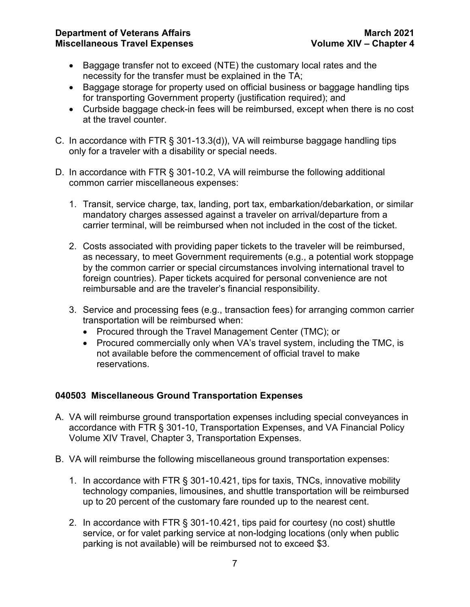- Baggage transfer not to exceed (NTE) the customary local rates and the necessity for the transfer must be explained in the TA;
- Baggage storage for property used on official business or baggage handling tips for transporting Government property (justification required); and
- Curbside baggage check-in fees will be reimbursed, except when there is no cost at the travel counter.
- C. In accordance with FTR § 301-13.3(d)), VA will reimburse baggage handling tips only for a traveler with a disability or special needs.
- D. In accordance with FTR § 301-10.2, VA will reimburse the following additional common carrier miscellaneous expenses:
	- 1. Transit, service charge, tax, landing, port tax, embarkation/debarkation, or similar mandatory charges assessed against a traveler on arrival/departure from a carrier terminal, will be reimbursed when not included in the cost of the ticket.
	- 2. Costs associated with providing paper tickets to the traveler will be reimbursed, as necessary, to meet Government requirements (e.g., a potential work stoppage by the common carrier or special circumstances involving international travel to foreign countries). Paper tickets acquired for personal convenience are not reimbursable and are the traveler's financial responsibility.
	- 3. Service and processing fees (e.g., transaction fees) for arranging common carrier transportation will be reimbursed when:
		- Procured through the Travel Management Center (TMC); or
		- Procured commercially only when VA's travel system, including the TMC, is not available before the commencement of official travel to make reservations.

#### <span id="page-7-0"></span>**040503 Miscellaneous Ground Transportation Expenses**

- A. VA will reimburse ground transportation expenses including special conveyances in accordance with FTR § 301-10, Transportation Expenses, and VA Financial Policy Volume XIV Travel, Chapter 3, Transportation Expenses.
- B. VA will reimburse the following miscellaneous ground transportation expenses:
	- 1. In accordance with FTR § 301-10.421, tips for taxis, TNCs, innovative mobility technology companies, limousines, and shuttle transportation will be reimbursed up to 20 percent of the customary fare rounded up to the nearest cent.
	- 2. In accordance with FTR § 301-10.421, tips paid for courtesy (no cost) shuttle service, or for valet parking service at non-lodging locations (only when public parking is not available) will be reimbursed not to exceed \$3.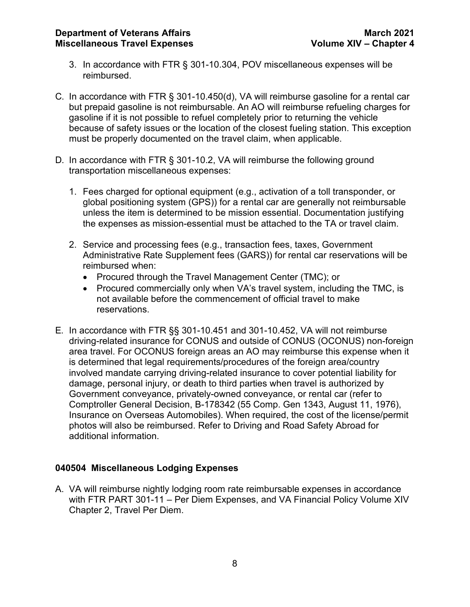- 3. In accordance with FTR § 301-10.304, POV miscellaneous expenses will be reimbursed.
- C. In accordance with FTR § 301-10.450(d), VA will reimburse gasoline for a rental car but prepaid gasoline is not reimbursable. An AO will reimburse refueling charges for gasoline if it is not possible to refuel completely prior to returning the vehicle because of safety issues or the location of the closest fueling station. This exception must be properly documented on the travel claim, when applicable.
- D. In accordance with FTR § 301-10.2, VA will reimburse the following ground transportation miscellaneous expenses:
	- 1. Fees charged for optional equipment (e.g., activation of a toll transponder, or global positioning system (GPS)) for a rental car are generally not reimbursable unless the item is determined to be mission essential. Documentation justifying the expenses as mission-essential must be attached to the TA or travel claim.
	- 2. Service and processing fees (e.g., transaction fees, taxes, Government Administrative Rate Supplement fees (GARS)) for rental car reservations will be reimbursed when:
		- Procured through the Travel Management Center (TMC); or
		- Procured commercially only when VA's travel system, including the TMC, is not available before the commencement of official travel to make reservations.
- E. In accordance with FTR §§ 301-10.451 and 301-10.452, VA will not reimburse driving-related insurance for CONUS and outside of CONUS (OCONUS) non-foreign area travel. For OCONUS foreign areas an AO may reimburse this expense when it is determined that legal requirements/procedures of the foreign area/country involved mandate carrying driving-related insurance to cover potential liability for damage, personal injury, or death to third parties when travel is authorized by Government conveyance, privately-owned conveyance, or rental car (refer to Comptroller General Decision, B-178342 (55 Comp. Gen 1343, August 11, 1976), Insurance on Overseas Automobiles). When required, the cost of the license/permit photos will also be reimbursed. Refer to Driving and Road Safety Abroad for additional information.

#### <span id="page-8-0"></span>**040504 Miscellaneous Lodging Expenses**

A. VA will reimburse nightly lodging room rate reimbursable expenses in accordance with FTR PART 301-11 – Per Diem Expenses, and VA Financial Policy Volume XIV Chapter 2, Travel Per Diem.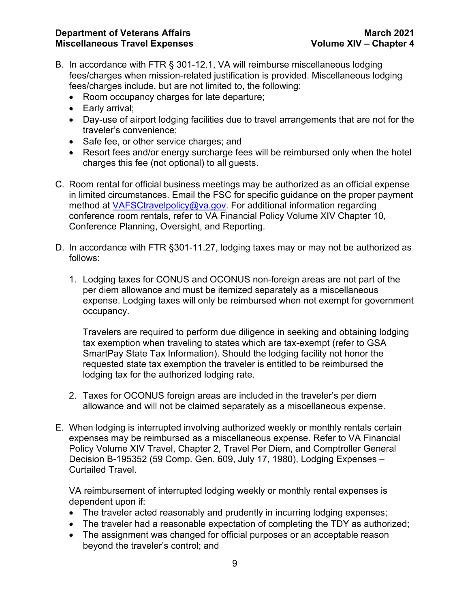- B. In accordance with FTR § 301-12.1, VA will reimburse miscellaneous lodging fees/charges when mission-related justification is provided. Miscellaneous lodging fees/charges include, but are not limited to, the following:
	- Room occupancy charges for late departure;
	- Early arrival;
	- Day-use of airport lodging facilities due to travel arrangements that are not for the traveler's convenience;
	- Safe fee, or other service charges; and
	- Resort fees and/or energy surcharge fees will be reimbursed only when the hotel charges this fee (not optional) to all guests.
- C. Room rental for official business meetings may be authorized as an official expense in limited circumstances. Email the FSC for specific guidance on the proper payment method at [VAFSCtravelpolicy@va.gov.](mailto:VAFSCtravelpolicy@va.gov) For additional information regarding conference room rentals, refer to VA Financial Policy Volume XIV Chapter 10, Conference Planning, Oversight, and Reporting.
- D. In accordance with FTR §301-11.27, lodging taxes may or may not be authorized as follows:
	- 1. Lodging taxes for CONUS and OCONUS non-foreign areas are not part of the per diem allowance and must be itemized separately as a miscellaneous expense. Lodging taxes will only be reimbursed when not exempt for government occupancy.

Travelers are required to perform due diligence in seeking and obtaining lodging tax exemption when traveling to states which are tax-exempt (refer to GSA SmartPay State Tax Information). Should the lodging facility not honor the requested state tax exemption the traveler is entitled to be reimbursed the lodging tax for the authorized lodging rate.

- 2. Taxes for OCONUS foreign areas are included in the traveler's per diem allowance and will not be claimed separately as a miscellaneous expense.
- E. When lodging is interrupted involving authorized weekly or monthly rentals certain expenses may be reimbursed as a miscellaneous expense. Refer to VA Financial Policy Volume XIV Travel, Chapter 2, Travel Per Diem, and Comptroller General Decision B-195352 (59 Comp. Gen. 609, July 17, 1980), Lodging Expenses – Curtailed Travel.

VA reimbursement of interrupted lodging weekly or monthly rental expenses is dependent upon if:

- The traveler acted reasonably and prudently in incurring lodging expenses;
- The traveler had a reasonable expectation of completing the TDY as authorized;
- The assignment was changed for official purposes or an acceptable reason beyond the traveler's control; and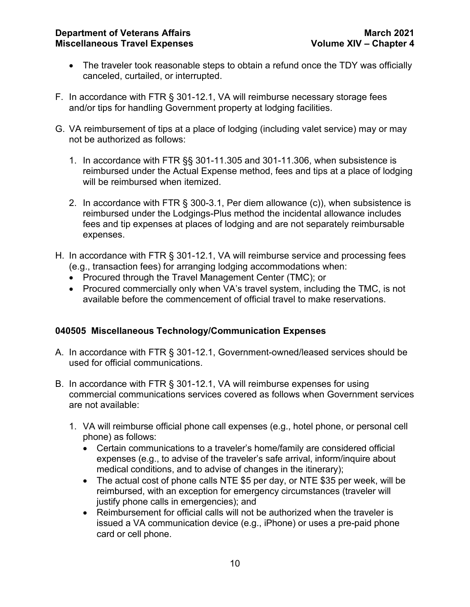- The traveler took reasonable steps to obtain a refund once the TDY was officially canceled, curtailed, or interrupted.
- F. In accordance with FTR § 301-12.1, VA will reimburse necessary storage fees and/or tips for handling Government property at lodging facilities.
- G. VA reimbursement of tips at a place of lodging (including valet service) may or may not be authorized as follows:
	- 1. In accordance with FTR §§ 301-11.305 and 301-11.306, when subsistence is reimbursed under the Actual Expense method, fees and tips at a place of lodging will be reimbursed when itemized.
	- 2. In accordance with FTR § 300-3.1, Per diem allowance (c)), when subsistence is reimbursed under the Lodgings-Plus method the incidental allowance includes fees and tip expenses at places of lodging and are not separately reimbursable expenses.
- H. In accordance with FTR § 301-12.1, VA will reimburse service and processing fees (e.g., transaction fees) for arranging lodging accommodations when:
	- Procured through the Travel Management Center (TMC); or
	- Procured commercially only when VA's travel system, including the TMC, is not available before the commencement of official travel to make reservations.

#### <span id="page-10-0"></span>**040505 Miscellaneous Technology/Communication Expenses**

- A. In accordance with FTR § 301-12.1, Government-owned/leased services should be used for official communications.
- B. In accordance with FTR § 301-12.1, VA will reimburse expenses for using commercial communications services covered as follows when Government services are not available:
	- 1. VA will reimburse official phone call expenses (e.g., hotel phone, or personal cell phone) as follows:
		- Certain communications to a traveler's home/family are considered official expenses (e.g., to advise of the traveler's safe arrival, inform/inquire about medical conditions, and to advise of changes in the itinerary);
		- The actual cost of phone calls NTE \$5 per day, or NTE \$35 per week, will be reimbursed, with an exception for emergency circumstances (traveler will justify phone calls in emergencies); and
		- Reimbursement for official calls will not be authorized when the traveler is issued a VA communication device (e.g., iPhone) or uses a pre-paid phone card or cell phone.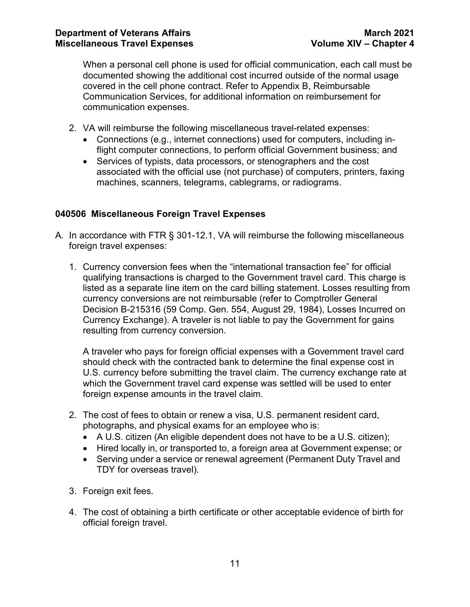When a personal cell phone is used for official communication, each call must be documented showing the additional cost incurred outside of the normal usage covered in the cell phone contract. Refer to Appendix B, Reimbursable Communication Services, for additional information on reimbursement for communication expenses.

- 2. VA will reimburse the following miscellaneous travel-related expenses:
	- Connections (e.g., internet connections) used for computers, including inflight computer connections, to perform official Government business; and
	- Services of typists, data processors, or stenographers and the cost associated with the official use (not purchase) of computers, printers, faxing machines, scanners, telegrams, cablegrams, or radiograms.

#### <span id="page-11-0"></span>**040506 Miscellaneous Foreign Travel Expenses**

- A. In accordance with FTR § 301-12.1, VA will reimburse the following miscellaneous foreign travel expenses:
	- 1. Currency conversion fees when the "international transaction fee" for official qualifying transactions is charged to the Government travel card. This charge is listed as a separate line item on the card billing statement. Losses resulting from currency conversions are not reimbursable (refer to Comptroller General Decision B-215316 (59 Comp. Gen. 554, August 29, 1984), Losses Incurred on Currency Exchange). A traveler is not liable to pay the Government for gains resulting from currency conversion.

A traveler who pays for foreign official expenses with a Government travel card should check with the contracted bank to determine the final expense cost in U.S. currency before submitting the travel claim. The currency exchange rate at which the Government travel card expense was settled will be used to enter foreign expense amounts in the travel claim.

- 2. The cost of fees to obtain or renew a visa, U.S. permanent resident card, photographs, and physical exams for an employee who is:
	- A U.S. citizen (An eligible dependent does not have to be a U.S. citizen);
	- Hired locally in, or transported to, a foreign area at Government expense; or
	- Serving under a service or renewal agreement (Permanent Duty Travel and TDY for overseas travel).
- 3. Foreign exit fees.
- 4. The cost of obtaining a birth certificate or other acceptable evidence of birth for official foreign travel.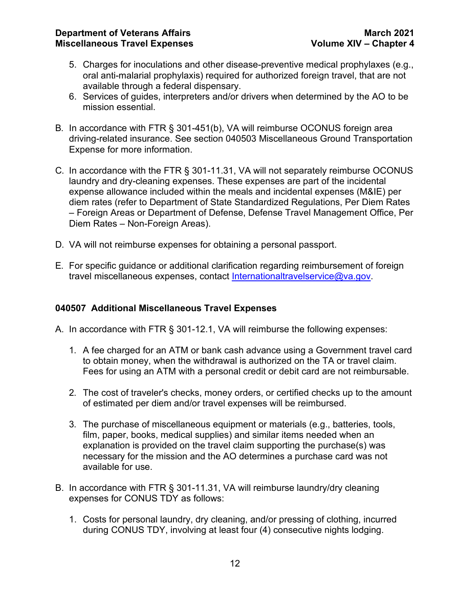- 5. Charges for inoculations and other disease-preventive medical prophylaxes (e.g., oral anti-malarial prophylaxis) required for authorized foreign travel, that are not available through a federal dispensary.
- 6. Services of guides, interpreters and/or drivers when determined by the AO to be mission essential.
- B. In accordance with FTR § 301-451(b), VA will reimburse OCONUS foreign area driving-related insurance. See section 040503 Miscellaneous Ground Transportation Expense for more information.
- C. In accordance with the FTR § 301-11.31, VA will not separately reimburse OCONUS laundry and dry-cleaning expenses. These expenses are part of the incidental expense allowance included within the meals and incidental expenses (M&IE) per diem rates (refer to Department of State Standardized Regulations, Per Diem Rates – Foreign Areas or Department of Defense, Defense Travel Management Office, Per Diem Rates – Non-Foreign Areas).
- D. VA will not reimburse expenses for obtaining a personal passport.
- E. For specific guidance or additional clarification regarding reimbursement of foreign travel miscellaneous expenses, contact [Internationaltravelservice@va.gov.](mailto:Internationaltravelservice@va.gov)

#### <span id="page-12-0"></span>**040507 Additional Miscellaneous Travel Expenses**

- A. In accordance with FTR § 301-12.1, VA will reimburse the following expenses:
	- 1. A fee charged for an ATM or bank cash advance using a Government travel card to obtain money, when the withdrawal is authorized on the TA or travel claim. Fees for using an ATM with a personal credit or debit card are not reimbursable.
	- 2. The cost of traveler's checks, money orders, or certified checks up to the amount of estimated per diem and/or travel expenses will be reimbursed.
	- 3. The purchase of miscellaneous equipment or materials (e.g., batteries, tools, film, paper, books, medical supplies) and similar items needed when an explanation is provided on the travel claim supporting the purchase(s) was necessary for the mission and the AO determines a purchase card was not available for use.
- B. In accordance with FTR § 301-11.31, VA will reimburse laundry/dry cleaning expenses for CONUS TDY as follows:
	- 1. Costs for personal laundry, dry cleaning, and/or pressing of clothing, incurred during CONUS TDY, involving at least four (4) consecutive nights lodging.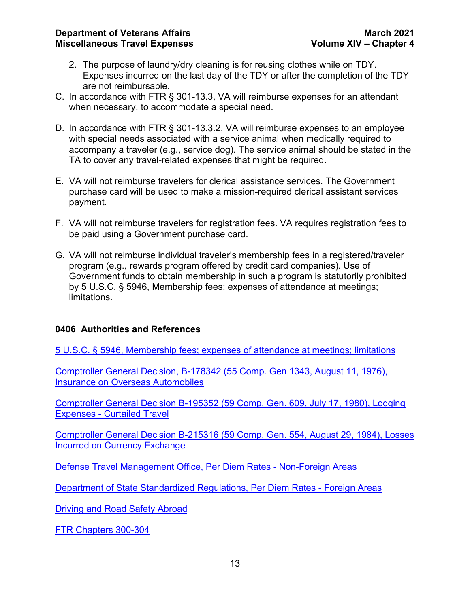- 2. The purpose of laundry/dry cleaning is for reusing clothes while on TDY. Expenses incurred on the last day of the TDY or after the completion of the TDY are not reimbursable.
- C. In accordance with FTR § 301-13.3, VA will reimburse expenses for an attendant when necessary, to accommodate a special need.
- D. In accordance with FTR § 301-13.3.2, VA will reimburse expenses to an employee with special needs associated with a service animal when medically required to accompany a traveler (e.g., service dog). The service animal should be stated in the TA to cover any travel-related expenses that might be required.
- E. VA will not reimburse travelers for clerical assistance services. The Government purchase card will be used to make a mission-required clerical assistant services payment.
- F. VA will not reimburse travelers for registration fees. VA requires registration fees to be paid using a Government purchase card.
- G. VA will not reimburse individual traveler's membership fees in a registered/traveler program (e.g., rewards program offered by credit card companies). Use of Government funds to obtain membership in such a program is statutorily prohibited by 5 U.S.C. § 5946, Membership fees; expenses of attendance at meetings; limitations.

#### <span id="page-13-0"></span>**0406 Authorities and References**

[5 U.S.C. § 5946, Membership fees; expenses of attendance at meetings; limitations](https://www.gpo.gov/fdsys/pkg/USCODE-2010-title5/pdf/USCODE-2010-title5-partIII-subpartD-chap59-subchapIV-sec5946.pdf)

[Comptroller General Decision, B-178342 \(55 Comp. Gen 1343, August 11, 1976\),](http://www.gao.gov/products/451602)  [Insurance on Overseas Automobiles](http://www.gao.gov/products/451602)

[Comptroller General Decision B-195352 \(59 Comp. Gen. 609, July 17, 1980\), Lodging](https://www.gao.gov/products/450663)  Expenses - [Curtailed Travel](https://www.gao.gov/products/450663)

[Comptroller General Decision B-215316 \(59 Comp. Gen. 554, August 29, 1984\), Losses](https://www.gao.gov/products/422708)  [Incurred on Currency Exchange](https://www.gao.gov/products/422708)

[Defense Travel Management Office, Per Diem Rates -](https://www.defensetravel.dod.mil/site/perdiemCalc.cfm) Non-Foreign Areas

[Department of State Standardized Regulations, Per Diem Rates -](https://aoprals.state.gov/content.asp?content_id=134&menu_id=75) Foreign Areas

[Driving and Road Safety Abroad](https://travel.state.gov/content/travel/en/international-travel/before-you-go/driving-and-road-safety.html)

[FTR Chapters 300-304](https://www.ecfr.gov/cgi-bin/text-idx?gp=&SID=904986730b04a8033358f586de32c1f0&mc=true&tpl=/ecfrbrowse/Title41/41subtitleF.tpl)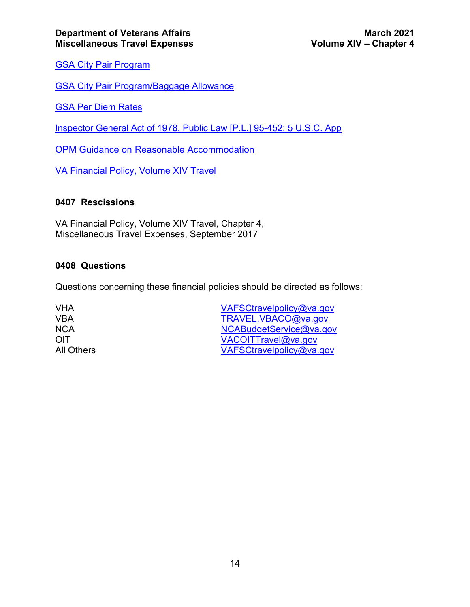[GSA City Pair Program](https://www.gsa.gov/travel/plan-book/transportation-airfare-pov-etc/city-pair-program-cpp)

[GSA City Pair Program/Baggage Allowance](https://www.gsa.gov/travel/plan-book/transportation-airfare-pov-etc/airfare-rates-city-pairs-programs/resource-library/baggage-allowance)

[GSA Per Diem Rates](https://www.gsa.gov/travel/plan-book/per-diem-rates/per-diem-rates-lookup)

[Inspector General Act of 1978, Public Law \[P.L.\] 95-452; 5 U.S.C. App](https://www.govinfo.gov/content/pkg/STATUTE-92/pdf/STATUTE-92-Pg1101.pdf#page=1)

[OPM Guidance on Reasonable Accommodation](https://archive.opm.gov/disability/mngr_6-01-B.asp)

[VA Financial Policy, Volume XIV Travel](https://www.va.gov/finance/policy/pubs/volumeXIV.asp)

#### <span id="page-14-0"></span>**0407 Rescissions**

VA Financial Policy, Volume XIV Travel, Chapter 4, Miscellaneous Travel Expenses, September 2017

#### <span id="page-14-1"></span>**0408 Questions**

Questions concerning these financial policies should be directed as follows:

VHA [VAFSCtravelpolicy@va.gov](mailto:VAFSCtravelpolicy@va.gov) VBA [TRAVEL.VBACO@va.gov](mailto:TRAVEL.VBACO@va.gov)<br>NCA NCABudgetService@va.go NCA [NCABudgetService@va.gov](mailto:NCABudgetService@va.gov)<br>
NCABudgetService@va.gov<br>
VACOITTravel@va.gov OIT [VACOITTravel@va.gov](mailto:VACOITTravel@va.gov) [VAFSCtravelpolicy@va.gov](mailto:VAFSCtravelpolicy@va.gov)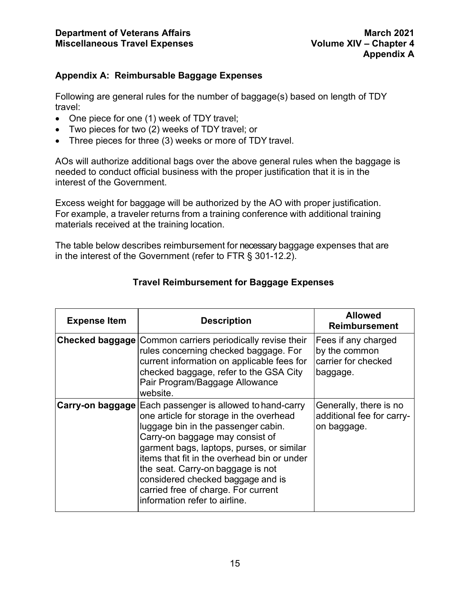#### <span id="page-15-0"></span>**Appendix A: Reimbursable Baggage Expenses**

Following are general rules for the number of baggage(s) based on length of TDY travel:

- One piece for one (1) week of TDY travel;
- Two pieces for two (2) weeks of TDY travel; or
- Three pieces for three (3) weeks or more of TDY travel.

AOs will authorize additional bags over the above general rules when the baggage is needed to conduct official business with the proper justification that it is in the interest of the Government.

Excess weight for baggage will be authorized by the AO with proper justification. For example, a traveler returns from a training conference with additional training materials received at the training location.

The table below describes reimbursement for necessary baggage expenses that are in the interest of the Government (refer to FTR § 301-12.2).

| <b>Expense Item</b> | <b>Description</b>                                                                                                                                                                                                                                                                                                                                                                                                                 | <b>Allowed</b><br><b>Reimbursement</b>                                  |
|---------------------|------------------------------------------------------------------------------------------------------------------------------------------------------------------------------------------------------------------------------------------------------------------------------------------------------------------------------------------------------------------------------------------------------------------------------------|-------------------------------------------------------------------------|
|                     | <b>Checked baggage Common carriers periodically revise their</b><br>rules concerning checked baggage. For<br>current information on applicable fees for<br>checked baggage, refer to the GSA City<br>Pair Program/Baggage Allowance<br>website.                                                                                                                                                                                    | Fees if any charged<br>by the common<br>carrier for checked<br>baggage. |
|                     | <b>Carry-on baggage Each passenger is allowed to hand-carry</b><br>one article for storage in the overhead<br>luggage bin in the passenger cabin.<br>Carry-on baggage may consist of<br>garment bags, laptops, purses, or similar<br>items that fit in the overhead bin or under<br>the seat. Carry-on baggage is not<br>considered checked baggage and is<br>carried free of charge. For current<br>information refer to airline. | Generally, there is no<br>additional fee for carry-<br>on baggage.      |

#### **Travel Reimbursement for Baggage Expenses**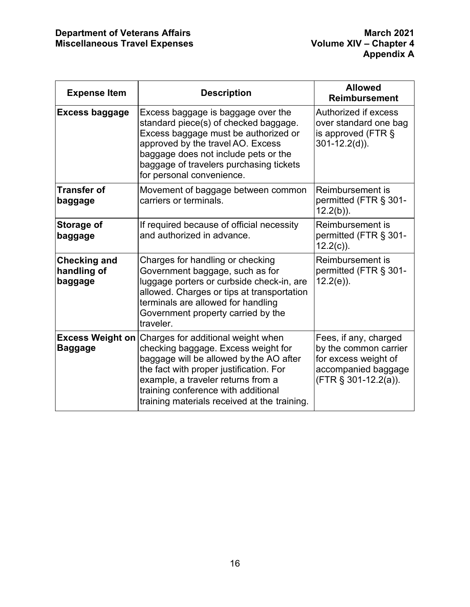| <b>Expense Item</b>                           | <b>Description</b>                                                                                                                                                                                                                                                                                                   | <b>Allowed</b><br><b>Reimbursement</b>                                                                                   |
|-----------------------------------------------|----------------------------------------------------------------------------------------------------------------------------------------------------------------------------------------------------------------------------------------------------------------------------------------------------------------------|--------------------------------------------------------------------------------------------------------------------------|
| <b>Excess baggage</b>                         | Excess baggage is baggage over the<br>standard piece(s) of checked baggage.<br>Excess baggage must be authorized or<br>approved by the travel AO. Excess<br>baggage does not include pets or the<br>baggage of travelers purchasing tickets<br>for personal convenience.                                             | Authorized if excess<br>over standard one bag<br>is approved (FTR $\S$<br>$301 - 12.2(d)$ ).                             |
| <b>Transfer of</b><br>baggage                 | Movement of baggage between common<br>carriers or terminals.                                                                                                                                                                                                                                                         | Reimbursement is<br>permitted (FTR § 301-<br>$12.2(b)$ ).                                                                |
| Storage of<br>baggage                         | If required because of official necessity<br>and authorized in advance.                                                                                                                                                                                                                                              | Reimbursement is<br>permitted (FTR § 301-<br>$12.2(c)$ ).                                                                |
| <b>Checking and</b><br>handling of<br>baggage | Charges for handling or checking<br>Government baggage, such as for<br>luggage porters or curbside check-in, are<br>allowed. Charges or tips at transportation<br>terminals are allowed for handling<br>Government property carried by the<br>traveler.                                                              | Reimbursement is<br>permitted (FTR § 301-<br>$12.2(e)$ ).                                                                |
| <b>Baggage</b>                                | <b>Excess Weight on Charges for additional weight when</b><br>checking baggage. Excess weight for<br>baggage will be allowed by the AO after<br>the fact with proper justification. For<br>example, a traveler returns from a<br>training conference with additional<br>training materials received at the training. | Fees, if any, charged<br>by the common carrier<br>for excess weight of<br>accompanied baggage<br>$(FTR \S 301-12.2(a)).$ |